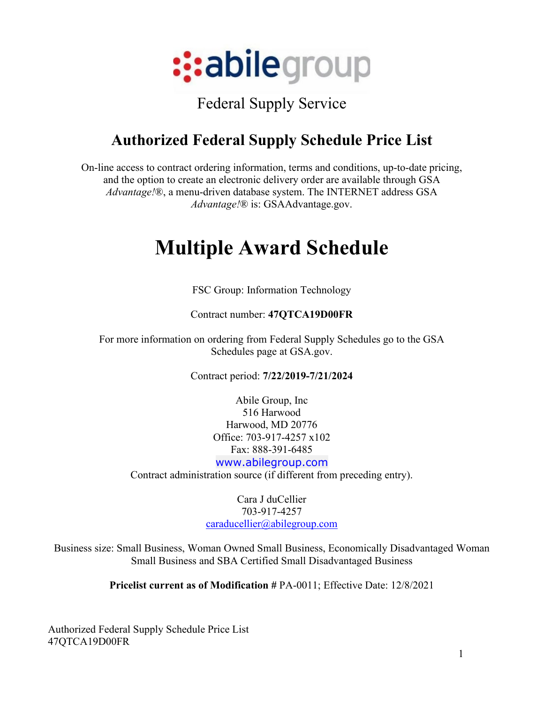

#### Federal Supply Service

#### **Authorized Federal Supply Schedule Price List**

On-line access to contract ordering information, terms and conditions, up-to-date pricing, and the option to create an electronic delivery order are available through GSA *Advantage!*®, a menu-driven database system. The INTERNET address GSA *Advantage!*® is: GSAAdvantage.gov.

#### **Multiple Award Schedule**

FSC Group: Information Technology

Contract number: **47QTCA19D00FR**

For more information on ordering from Federal Supply Schedules go to the GSA Schedules page at GSA.gov.

Contract period: **7/22/2019-7/21/2024**

Abile Group, Inc 516 Harwood Harwood, MD 20776 Office: 703-917-4257 x102 Fax: 888-391-6485 [www.abilegroup.com](http://www.abilegroup.com/)

Contract administration source (if different from preceding entry).

Cara J duCellier 703-917-4257 [caraducellier@abilegroup.com](mailto:caraducellier@abilegroup.com)

Business size: Small Business, Woman Owned Small Business, Economically Disadvantaged Woman Small Business and SBA Certified Small Disadvantaged Business

**Pricelist current as of Modification #** PA-0011; Effective Date: 12/8/2021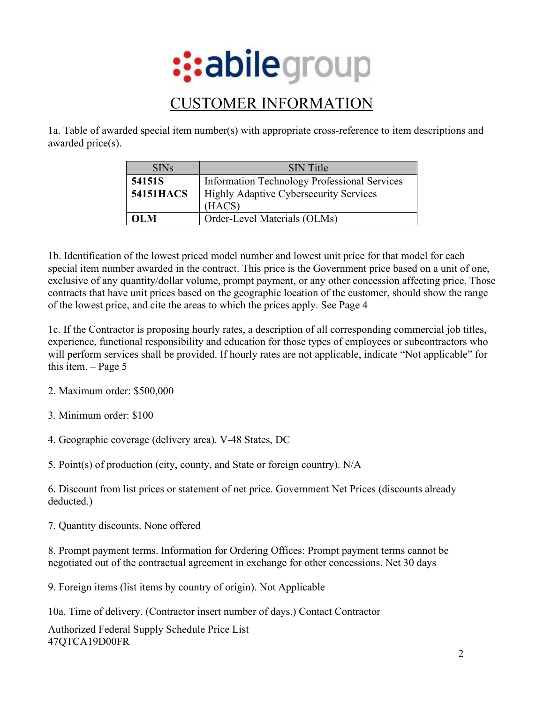

#### CUSTOMER INFORMATION

1a. Table of awarded special item number(s) with appropriate cross-reference to item descriptions and awarded price(s).

| <b>SINs</b>      | <b>SIN</b> Title                                        |
|------------------|---------------------------------------------------------|
| 54151S           | <b>Information Technology Professional Services</b>     |
| <b>54151HACS</b> | <b>Highly Adaptive Cybersecurity Services</b><br>(HACS) |
| $\Omega$ M       | Order-Level Materials (OLMs)                            |

1b. Identification of the lowest priced model number and lowest unit price for that model for each special item number awarded in the contract. This price is the Government price based on a unit of one, exclusive of any quantity/dollar volume, prompt payment, or any other concession affecting price. Those contracts that have unit prices based on the geographic location of the customer, should show the range of the lowest price, and cite the areas to which the prices apply. See Page 4

1c. If the Contractor is proposing hourly rates, a description of all corresponding commercial job titles, experience, functional responsibility and education for those types of employees or subcontractors who will perform services shall be provided. If hourly rates are not applicable, indicate "Not applicable" for this item. – Page 5

- 2. Maximum order: \$500,000
- 3. Minimum order: \$100
- 4. Geographic coverage (delivery area). V-48 States, DC

5. Point(s) of production (city, county, and State or foreign country). N/A

6. Discount from list prices or statement of net price. Government Net Prices (discounts already deducted.)

7. Quantity discounts. None offered

8. Prompt payment terms. Information for Ordering Offices: Prompt payment terms cannot be negotiated out of the contractual agreement in exchange for other concessions. Net 30 days

9. Foreign items (list items by country of origin). Not Applicable

10a. Time of delivery. (Contractor insert number of days.) Contact Contractor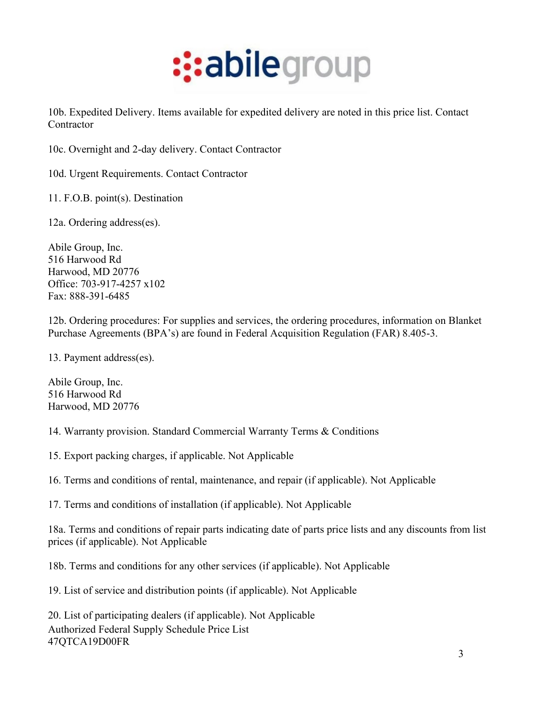

10b. Expedited Delivery. Items available for expedited delivery are noted in this price list. Contact Contractor

10c. Overnight and 2-day delivery. Contact Contractor

10d. Urgent Requirements. Contact Contractor

11. F.O.B. point(s). Destination

12a. Ordering address(es).

Abile Group, Inc. 516 Harwood Rd Harwood, MD 20776 Office: 703-917-4257 x102 Fax: 888-391-6485

12b. Ordering procedures: For supplies and services, the ordering procedures, information on Blanket Purchase Agreements (BPA's) are found in Federal Acquisition Regulation (FAR) 8.405-3.

13. Payment address(es).

Abile Group, Inc. 516 Harwood Rd Harwood, MD 20776

14. Warranty provision. Standard Commercial Warranty Terms & Conditions

15. Export packing charges, if applicable. Not Applicable

16. Terms and conditions of rental, maintenance, and repair (if applicable). Not Applicable

17. Terms and conditions of installation (if applicable). Not Applicable

18a. Terms and conditions of repair parts indicating date of parts price lists and any discounts from list prices (if applicable). Not Applicable

18b. Terms and conditions for any other services (if applicable). Not Applicable

19. List of service and distribution points (if applicable). Not Applicable

Authorized Federal Supply Schedule Price List 47QTCA19D00FR 20. List of participating dealers (if applicable). Not Applicable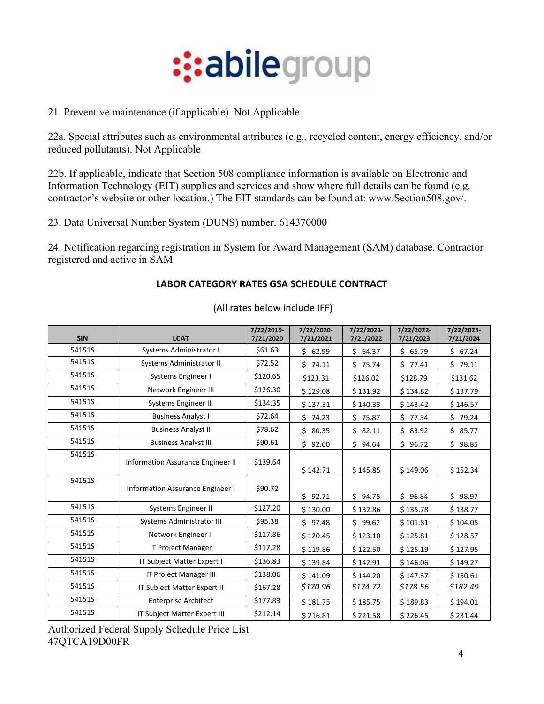

21. Preventive maintenance (if applicable). Not Applicable

22a. Special attributes such as environmental attributes (e.g., recycled content, energy efficiency, and/or reduced pollutants). Not Applicable

22b. If applicable, indicate that Section 508 compliance information is available on Electronic and Information Technology (EIT) supplies and services and show where full details can be found (e.g. contractor's website or other location.) The EIT standards can be found at: [www.Section508.gov/.](http://www.section508.gov/)

23. Data Universal Number System (DUNS) number. 614370000

24. Notification regarding registration in System for Award Management (SAM) database. Contractor registered and active in SAM

#### **LABOR CATEGORY RATES GSA SCHEDULE CONTRACT**

| <b>SIN</b> | <b>LCAT</b>                             | 7/22/2019-<br>7/21/2020 | 7/22/2020-<br>7/21/2021 | 7/22/2021-<br>7/21/2022 | 7/22/2022-<br>7/21/2023 | 7/22/2023-<br>7/21/2024 |
|------------|-----------------------------------------|-------------------------|-------------------------|-------------------------|-------------------------|-------------------------|
| 54151S     | Systems Administrator I                 | \$61.63                 | \$62.99                 | \$64.37                 | \$65.79                 | \$67.24                 |
| 54151S     | Systems Administrator II                | \$72.52                 | \$74.11                 | \$75.74                 | \$77.41                 | \$79.11                 |
| 54151S     | Systems Engineer I                      | \$120.65                | \$123.31                | \$126.02                | \$128.79                | \$131.62                |
| 54151S     | Network Engineer III                    | \$126.30                | \$129.08                | \$131.92                | \$134.82                | \$137.79                |
| 54151S     | <b>Systems Engineer III</b>             | \$134.35                | \$137.31                | \$140.33                | \$143.42                | \$146.57                |
| 54151S     | <b>Business Analyst I</b>               | \$72.64                 | \$74.23                 | \$75.87                 | \$77.54                 | \$79.24                 |
| 54151S     | <b>Business Analyst II</b>              | \$78.62                 | \$80.35                 | \$82.11                 | \$83.92                 | \$85.77                 |
| 54151S     | <b>Business Analyst III</b>             | \$90.61                 | Ś.<br>92.60             | Ś.<br>94.64             | \$96.72                 | \$98.85                 |
| 54151S     | Information Assurance Engineer II       | \$139.64                | \$142.71                | \$145.85                | \$149.06                | \$152.34                |
| 54151S     | <b>Information Assurance Engineer I</b> | \$90.72                 | \$92.71                 | \$94.75                 | \$96.84                 | Ś.<br>98.97             |
| 54151S     | Systems Engineer II                     | \$127.20                | \$130.00                | \$132.86                | \$135.78                | \$138.77                |
| 54151S     | <b>Systems Administrator III</b>        | \$95.38                 | \$97.48                 | \$99.62                 | \$101.81                | \$104.05                |
| 54151S     | Network Engineer II                     | \$117.86                | \$120.45                | \$123.10                | \$125.81                | \$128.57                |
| 54151S     | <b>IT Project Manager</b>               | \$117.28                | \$119.86                | \$122.50                | \$125.19                | \$127.95                |
| 54151S     | IT Subject Matter Expert I              | \$136.83                | \$139.84                | \$142.91                | \$146.06                | \$149.27                |
| 54151S     | IT Project Manager III                  | \$138.06                | \$141.09                | \$144.20                | \$147.37                | \$150.61                |
| 54151S     | IT Subject Matter Expert II             | \$167.28                | \$170.96                | \$174.72                | \$178.56                | \$182.49                |
| 54151S     | <b>Enterprise Architect</b>             | \$177.83                | \$181.75                | \$185.75                | \$189.83                | \$194.01                |
| 54151S     | <b>IT Subject Matter Expert III</b>     | \$212.14                | \$216.81                | \$221.58                | \$226.45                | \$231.44                |

(All rates below include IFF)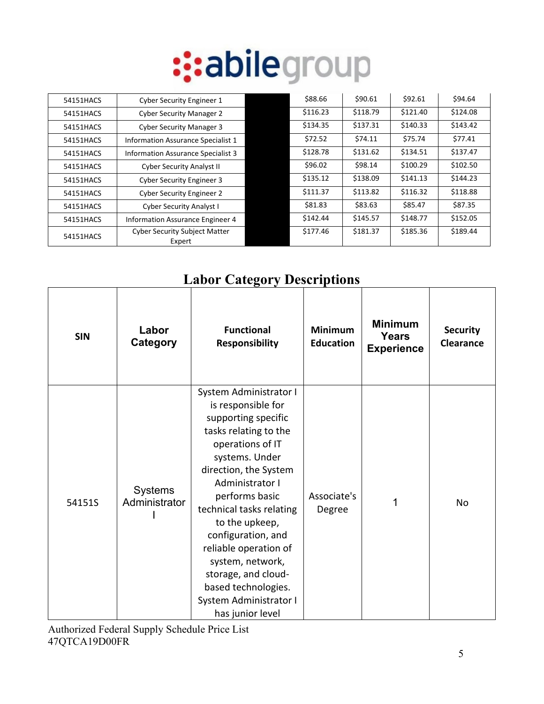| 54151HACS | <b>Cyber Security Engineer 1</b>               | \$88.66  | \$90.61  | \$92.61  | \$94.64  |
|-----------|------------------------------------------------|----------|----------|----------|----------|
| 54151HACS | <b>Cyber Security Manager 2</b>                | \$116.23 | \$118.79 | \$121.40 | \$124.08 |
| 54151HACS | <b>Cyber Security Manager 3</b>                | \$134.35 | \$137.31 | \$140.33 | \$143.42 |
| 54151HACS | Information Assurance Specialist 1             | \$72.52  | \$74.11  | \$75.74  | \$77.41  |
| 54151HACS | Information Assurance Specialist 3             | \$128.78 | \$131.62 | \$134.51 | \$137.47 |
| 54151HACS | <b>Cyber Security Analyst II</b>               | \$96.02  | \$98.14  | \$100.29 | \$102.50 |
| 54151HACS | <b>Cyber Security Engineer 3</b>               | \$135.12 | \$138.09 | \$141.13 | \$144.23 |
| 54151HACS | <b>Cyber Security Engineer 2</b>               | \$111.37 | \$113.82 | \$116.32 | \$118.88 |
| 54151HACS | <b>Cyber Security Analyst I</b>                | \$81.83  | \$83.63  | \$85.47  | \$87.35  |
| 54151HACS | Information Assurance Engineer 4               | \$142.44 | \$145.57 | \$148.77 | \$152.05 |
| 54151HACS | <b>Cyber Security Subject Matter</b><br>Expert | \$177.46 | \$181.37 | \$185.36 | \$189.44 |

#### **Labor Category Descriptions**

| <b>SIN</b> | Labor<br>Category               | <b>Functional</b><br><b>Responsibility</b>                                                                                                                                                                                                                                                                                                                                                                    | <b>Minimum</b><br><b>Education</b> | <b>Minimum</b><br><b>Years</b><br><b>Experience</b> | <b>Security</b><br><b>Clearance</b> |
|------------|---------------------------------|---------------------------------------------------------------------------------------------------------------------------------------------------------------------------------------------------------------------------------------------------------------------------------------------------------------------------------------------------------------------------------------------------------------|------------------------------------|-----------------------------------------------------|-------------------------------------|
| 54151S     | <b>Systems</b><br>Administrator | System Administrator I<br>is responsible for<br>supporting specific<br>tasks relating to the<br>operations of IT<br>systems. Under<br>direction, the System<br>Administrator I<br>performs basic<br>technical tasks relating<br>to the upkeep,<br>configuration, and<br>reliable operation of<br>system, network,<br>storage, and cloud-<br>based technologies.<br>System Administrator I<br>has junior level | Associate's<br>Degree              | 1                                                   | No                                  |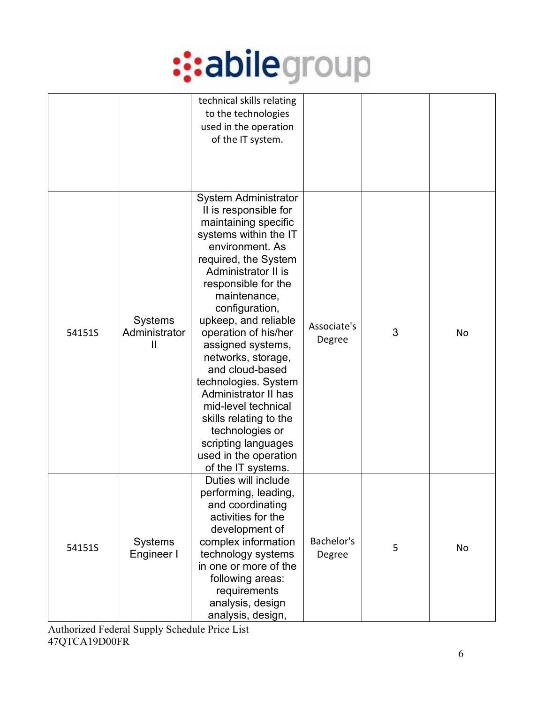

|        |                                                 | technical skills relating<br>to the technologies<br>used in the operation<br>of the IT system.                                                                                                                                                                                                                                                                                                                                                                                                                                                  |                       |   |    |
|--------|-------------------------------------------------|-------------------------------------------------------------------------------------------------------------------------------------------------------------------------------------------------------------------------------------------------------------------------------------------------------------------------------------------------------------------------------------------------------------------------------------------------------------------------------------------------------------------------------------------------|-----------------------|---|----|
| 54151S | <b>Systems</b><br>Administrator<br>$\mathbf{I}$ | <b>System Administrator</b><br>II is responsible for<br>maintaining specific<br>systems within the IT<br>environment. As<br>required, the System<br>Administrator II is<br>responsible for the<br>maintenance,<br>configuration,<br>upkeep, and reliable<br>operation of his/her<br>assigned systems,<br>networks, storage,<br>and cloud-based<br>technologies. System<br><b>Administrator II has</b><br>mid-level technical<br>skills relating to the<br>technologies or<br>scripting languages<br>used in the operation<br>of the IT systems. | Associate's<br>Degree | 3 | No |
| 54151S | <b>Systems</b><br>Engineer I                    | Duties will include<br>performing, leading,<br>and coordinating<br>activities for the<br>development of<br>complex information<br>technology systems<br>in one or more of the<br>following areas:<br>requirements<br>analysis, design<br>analysis, design,                                                                                                                                                                                                                                                                                      | Bachelor's<br>Degree  | 5 | No |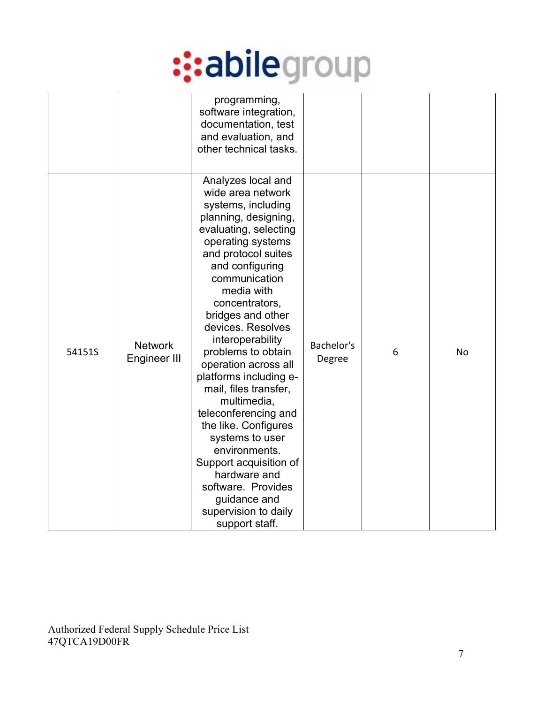|        |                                | programming,<br>software integration,<br>documentation, test<br>and evaluation, and<br>other technical tasks.                                                                                                                                                                                                                                                                                                                                                                                                                                                                                                              |                      |   |    |
|--------|--------------------------------|----------------------------------------------------------------------------------------------------------------------------------------------------------------------------------------------------------------------------------------------------------------------------------------------------------------------------------------------------------------------------------------------------------------------------------------------------------------------------------------------------------------------------------------------------------------------------------------------------------------------------|----------------------|---|----|
| 54151S | <b>Network</b><br>Engineer III | Analyzes local and<br>wide area network<br>systems, including<br>planning, designing,<br>evaluating, selecting<br>operating systems<br>and protocol suites<br>and configuring<br>communication<br>media with<br>concentrators,<br>bridges and other<br>devices. Resolves<br>interoperability<br>problems to obtain<br>operation across all<br>platforms including e-<br>mail, files transfer,<br>multimedia,<br>teleconferencing and<br>the like. Configures<br>systems to user<br>environments.<br>Support acquisition of<br>hardware and<br>software. Provides<br>guidance and<br>supervision to daily<br>support staff. | Bachelor's<br>Degree | 6 | No |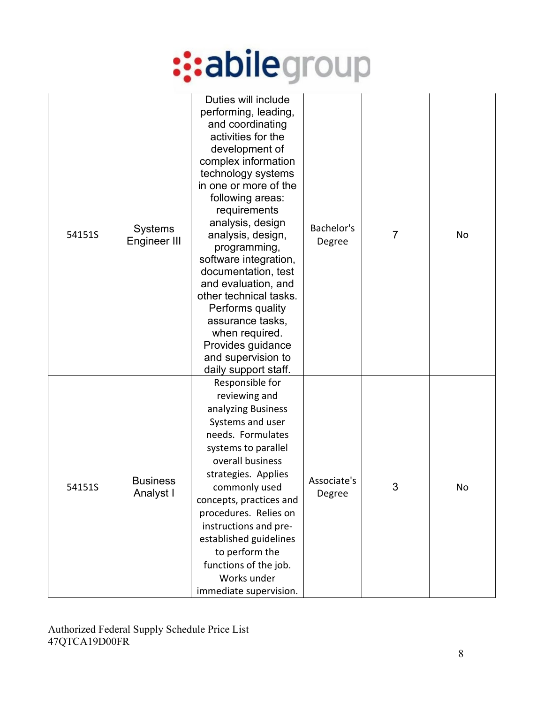| 54151S | <b>Systems</b><br>Engineer III | Duties will include<br>performing, leading,<br>and coordinating<br>activities for the<br>development of<br>complex information<br>technology systems<br>in one or more of the<br>following areas:<br>requirements<br>analysis, design<br>analysis, design,<br>programming,<br>software integration,<br>documentation, test<br>and evaluation, and<br>other technical tasks.<br>Performs quality<br>assurance tasks,<br>when required.<br>Provides guidance<br>and supervision to<br>daily support staff. | Bachelor's<br>Degree  | 7 | No |
|--------|--------------------------------|----------------------------------------------------------------------------------------------------------------------------------------------------------------------------------------------------------------------------------------------------------------------------------------------------------------------------------------------------------------------------------------------------------------------------------------------------------------------------------------------------------|-----------------------|---|----|
| 54151S | <b>Business</b><br>Analyst I   | Responsible for<br>reviewing and<br>analyzing Business<br>Systems and user<br>needs. Formulates<br>systems to parallel<br>overall business<br>strategies. Applies<br>commonly used<br>concepts, practices and<br>procedures. Relies on<br>instructions and pre-<br>established guidelines<br>to perform the<br>functions of the job.<br>Works under<br>immediate supervision.                                                                                                                            | Associate's<br>Degree | 3 | No |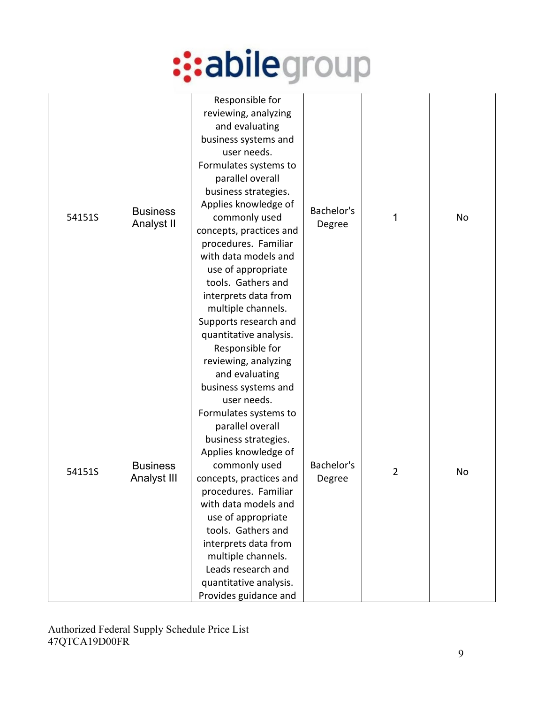| 54151S | <b>Business</b><br><b>Analyst II</b> | Responsible for<br>reviewing, analyzing<br>and evaluating<br>business systems and<br>user needs.<br>Formulates systems to<br>parallel overall<br>business strategies.<br>Applies knowledge of<br>commonly used<br>concepts, practices and<br>procedures. Familiar<br>with data models and<br>use of appropriate<br>tools. Gathers and<br>interprets data from<br>multiple channels.<br>Supports research and<br>quantitative analysis.                       | Bachelor's<br>Degree | 1              | No |
|--------|--------------------------------------|--------------------------------------------------------------------------------------------------------------------------------------------------------------------------------------------------------------------------------------------------------------------------------------------------------------------------------------------------------------------------------------------------------------------------------------------------------------|----------------------|----------------|----|
| 54151S | <b>Business</b><br>Analyst III       | Responsible for<br>reviewing, analyzing<br>and evaluating<br>business systems and<br>user needs.<br>Formulates systems to<br>parallel overall<br>business strategies.<br>Applies knowledge of<br>commonly used<br>concepts, practices and<br>procedures. Familiar<br>with data models and<br>use of appropriate<br>tools. Gathers and<br>interprets data from<br>multiple channels.<br>Leads research and<br>quantitative analysis.<br>Provides guidance and | Bachelor's<br>Degree | $\overline{2}$ | No |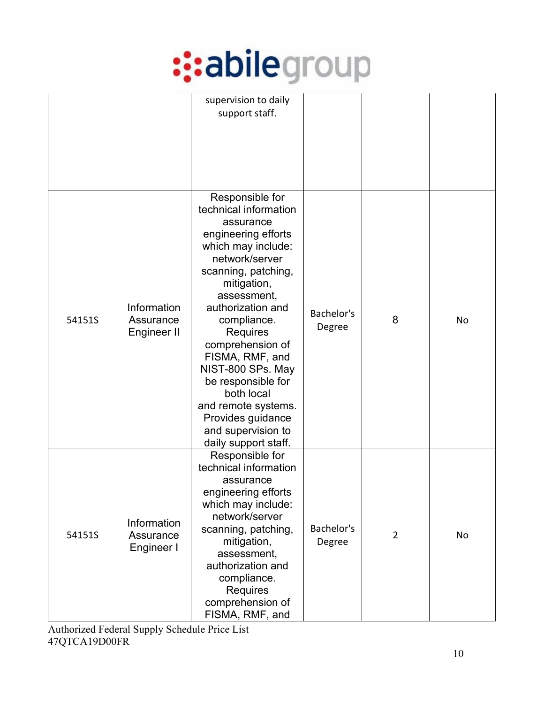|        |                                         | supervision to daily<br>support staff.                                                                                                                                                                                                                                                                                                                                                                              |                      |                |    |
|--------|-----------------------------------------|---------------------------------------------------------------------------------------------------------------------------------------------------------------------------------------------------------------------------------------------------------------------------------------------------------------------------------------------------------------------------------------------------------------------|----------------------|----------------|----|
| 54151S | Information<br>Assurance<br>Engineer II | Responsible for<br>technical information<br>assurance<br>engineering efforts<br>which may include:<br>network/server<br>scanning, patching,<br>mitigation,<br>assessment,<br>authorization and<br>compliance.<br>Requires<br>comprehension of<br>FISMA, RMF, and<br>NIST-800 SPs. May<br>be responsible for<br>both local<br>and remote systems.<br>Provides guidance<br>and supervision to<br>daily support staff. | Bachelor's<br>Degree | 8              | No |
| 54151S | Information<br>Assurance<br>Engineer I  | Responsible for<br>technical information<br>assurance<br>engineering efforts<br>which may include:<br>network/server<br>scanning, patching,<br>mitigation,<br>assessment,<br>authorization and<br>compliance.<br><b>Requires</b><br>comprehension of<br>FISMA, RMF, and                                                                                                                                             | Bachelor's<br>Degree | $\overline{2}$ | No |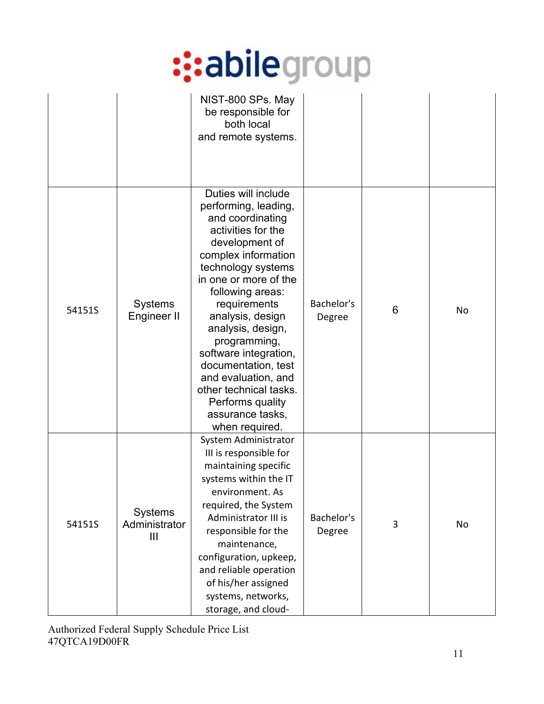|        |                                                   | NIST-800 SPs. May<br>be responsible for<br>both local<br>and remote systems.                                                                                                                                                                                                                                                                                                                                                          |                      |   |           |
|--------|---------------------------------------------------|---------------------------------------------------------------------------------------------------------------------------------------------------------------------------------------------------------------------------------------------------------------------------------------------------------------------------------------------------------------------------------------------------------------------------------------|----------------------|---|-----------|
| 54151S | <b>Systems</b><br>Engineer II                     | Duties will include<br>performing, leading,<br>and coordinating<br>activities for the<br>development of<br>complex information<br>technology systems<br>in one or more of the<br>following areas:<br>requirements<br>analysis, design<br>analysis, design,<br>programming,<br>software integration,<br>documentation, test<br>and evaluation, and<br>other technical tasks.<br>Performs quality<br>assurance tasks,<br>when required. | Bachelor's<br>Degree | 6 | <b>No</b> |
| 54151S | <b>Systems</b><br>Administrator<br>$\mathbf{III}$ | System Administrator<br>III is responsible for<br>maintaining specific<br>systems within the IT<br>environment. As<br>required, the System<br>Administrator III is<br>responsible for the<br>maintenance,<br>configuration, upkeep,<br>and reliable operation<br>of his/her assigned<br>systems, networks,<br>storage, and cloud-                                                                                                     | Bachelor's<br>Degree | 3 | No        |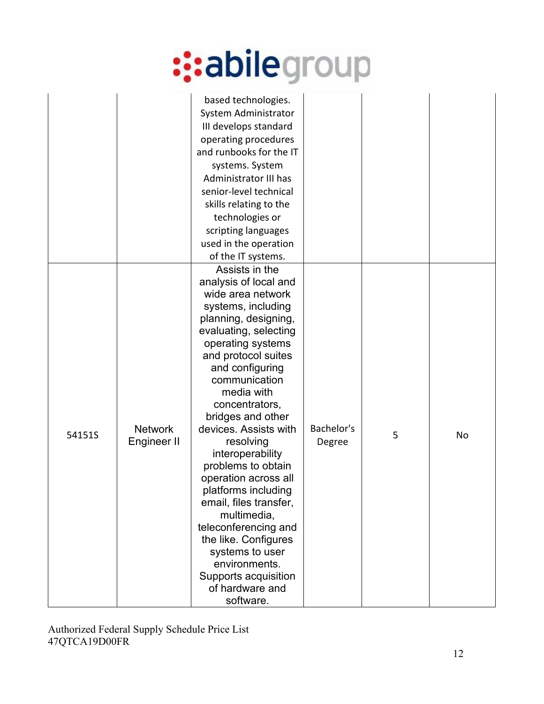|        |                               | based technologies.<br>System Administrator<br>III develops standard<br>operating procedures<br>and runbooks for the IT<br>systems. System<br>Administrator III has<br>senior-level technical<br>skills relating to the<br>technologies or<br>scripting languages<br>used in the operation<br>of the IT systems.                                                                                                                                                                                                                                                                             |                      |   |    |
|--------|-------------------------------|----------------------------------------------------------------------------------------------------------------------------------------------------------------------------------------------------------------------------------------------------------------------------------------------------------------------------------------------------------------------------------------------------------------------------------------------------------------------------------------------------------------------------------------------------------------------------------------------|----------------------|---|----|
| 54151S | <b>Network</b><br>Engineer II | Assists in the<br>analysis of local and<br>wide area network<br>systems, including<br>planning, designing,<br>evaluating, selecting<br>operating systems<br>and protocol suites<br>and configuring<br>communication<br>media with<br>concentrators,<br>bridges and other<br>devices. Assists with<br>resolving<br>interoperability<br>problems to obtain<br>operation across all<br>platforms including<br>email, files transfer,<br>multimedia,<br>teleconferencing and<br>the like. Configures<br>systems to user<br>environments.<br>Supports acquisition<br>of hardware and<br>software. | Bachelor's<br>Degree | 5 | No |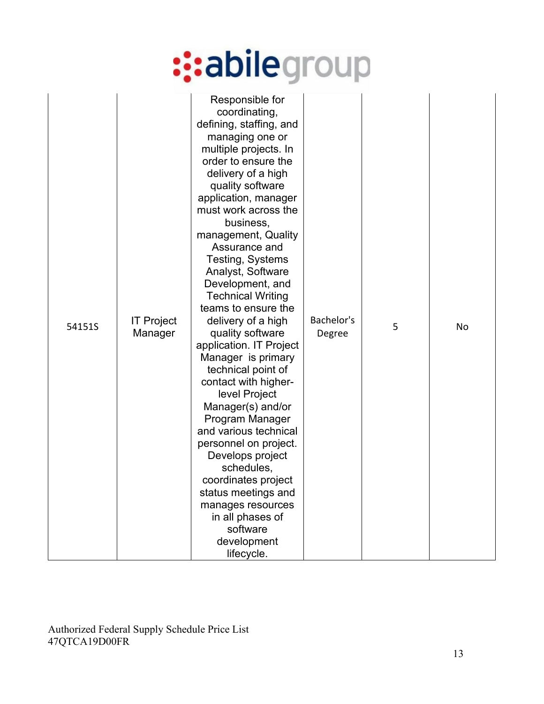| 54151S | <b>IT Project</b><br>Manager | Responsible for<br>coordinating,<br>defining, staffing, and<br>managing one or<br>multiple projects. In<br>order to ensure the<br>delivery of a high<br>quality software<br>application, manager<br>must work across the<br>business,<br>management, Quality<br>Assurance and<br>Testing, Systems<br>Analyst, Software<br>Development, and<br><b>Technical Writing</b><br>teams to ensure the<br>delivery of a high<br>quality software<br>application. IT Project<br>Manager is primary<br>technical point of<br>contact with higher-<br>level Project<br>Manager(s) and/or<br>Program Manager<br>and various technical<br>personnel on project.<br>Develops project<br>schedules,<br>coordinates project<br>status meetings and<br>manages resources<br>in all phases of<br>software<br>development<br>lifecycle. | Bachelor's<br>Degree | 5 | No |
|--------|------------------------------|---------------------------------------------------------------------------------------------------------------------------------------------------------------------------------------------------------------------------------------------------------------------------------------------------------------------------------------------------------------------------------------------------------------------------------------------------------------------------------------------------------------------------------------------------------------------------------------------------------------------------------------------------------------------------------------------------------------------------------------------------------------------------------------------------------------------|----------------------|---|----|
|--------|------------------------------|---------------------------------------------------------------------------------------------------------------------------------------------------------------------------------------------------------------------------------------------------------------------------------------------------------------------------------------------------------------------------------------------------------------------------------------------------------------------------------------------------------------------------------------------------------------------------------------------------------------------------------------------------------------------------------------------------------------------------------------------------------------------------------------------------------------------|----------------------|---|----|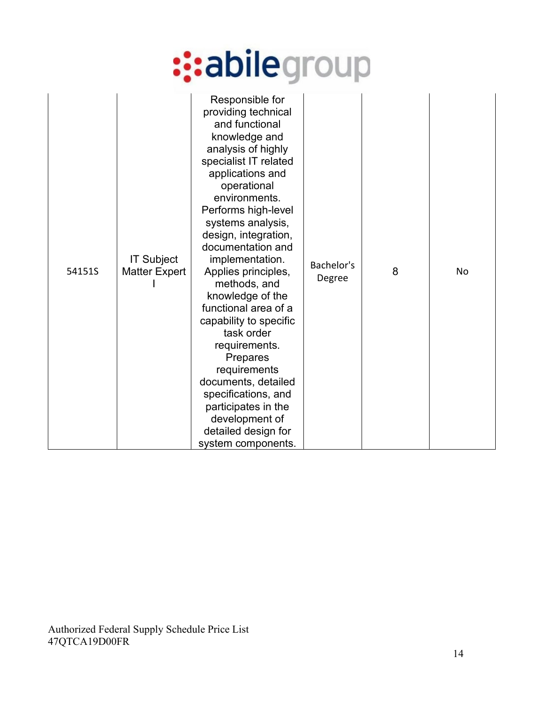| 54151S | <b>IT Subject</b><br><b>Matter Expert</b> | Responsible for<br>providing technical<br>and functional<br>knowledge and<br>analysis of highly<br>specialist IT related<br>applications and<br>operational<br>environments.<br>Performs high-level<br>systems analysis,<br>design, integration,<br>documentation and<br>implementation.<br>Applies principles,<br>methods, and<br>knowledge of the<br>functional area of a<br>capability to specific<br>task order<br>requirements.<br>Prepares<br>requirements<br>documents, detailed<br>specifications, and<br>participates in the<br>development of<br>detailed design for<br>system components. | Bachelor's<br>Degree | 8 | No |
|--------|-------------------------------------------|------------------------------------------------------------------------------------------------------------------------------------------------------------------------------------------------------------------------------------------------------------------------------------------------------------------------------------------------------------------------------------------------------------------------------------------------------------------------------------------------------------------------------------------------------------------------------------------------------|----------------------|---|----|
|--------|-------------------------------------------|------------------------------------------------------------------------------------------------------------------------------------------------------------------------------------------------------------------------------------------------------------------------------------------------------------------------------------------------------------------------------------------------------------------------------------------------------------------------------------------------------------------------------------------------------------------------------------------------------|----------------------|---|----|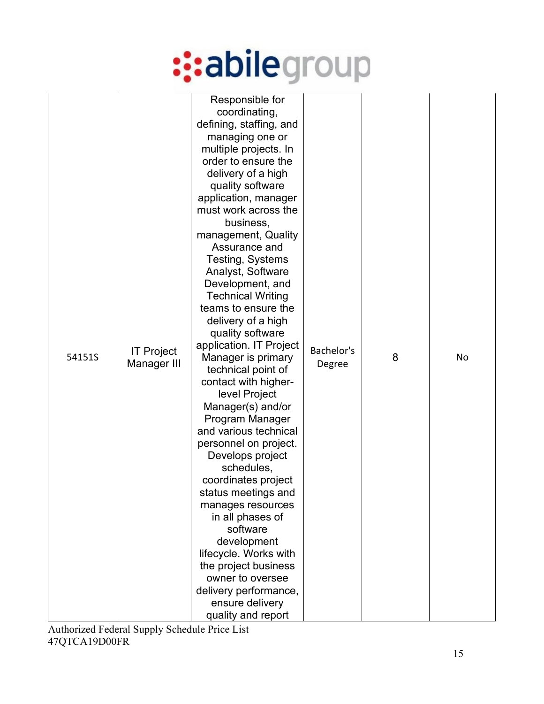| 54151S | <b>IT Project</b><br>Manager III | Responsible for<br>coordinating,<br>defining, staffing, and<br>managing one or<br>multiple projects. In<br>order to ensure the<br>delivery of a high<br>quality software<br>application, manager<br>must work across the<br>business,<br>management, Quality<br>Assurance and<br>Testing, Systems<br>Analyst, Software<br>Development, and<br><b>Technical Writing</b><br>teams to ensure the<br>delivery of a high<br>quality software<br>application. IT Project<br>Manager is primary<br>technical point of<br>contact with higher-<br>level Project<br>Manager(s) and/or<br>Program Manager<br>and various technical<br>personnel on project.<br>Develops project<br>schedules,<br>coordinates project<br>status meetings and<br>manages resources<br>in all phases of<br>software<br>development<br>lifecycle. Works with<br>the project business<br>owner to oversee<br>delivery performance,<br>ensure delivery<br>quality and report | Bachelor's<br>Degree | 8 | No |
|--------|----------------------------------|----------------------------------------------------------------------------------------------------------------------------------------------------------------------------------------------------------------------------------------------------------------------------------------------------------------------------------------------------------------------------------------------------------------------------------------------------------------------------------------------------------------------------------------------------------------------------------------------------------------------------------------------------------------------------------------------------------------------------------------------------------------------------------------------------------------------------------------------------------------------------------------------------------------------------------------------|----------------------|---|----|
|--------|----------------------------------|----------------------------------------------------------------------------------------------------------------------------------------------------------------------------------------------------------------------------------------------------------------------------------------------------------------------------------------------------------------------------------------------------------------------------------------------------------------------------------------------------------------------------------------------------------------------------------------------------------------------------------------------------------------------------------------------------------------------------------------------------------------------------------------------------------------------------------------------------------------------------------------------------------------------------------------------|----------------------|---|----|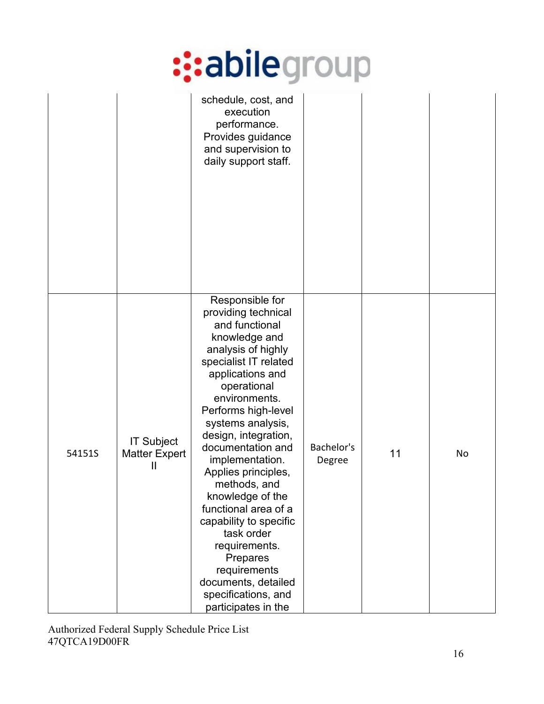|        |                                                            | schedule, cost, and<br>execution<br>performance.<br>Provides guidance<br>and supervision to<br>daily support staff.                                                                                                                                                                                                                                                                                                                                                                                                                   |                      |    |    |
|--------|------------------------------------------------------------|---------------------------------------------------------------------------------------------------------------------------------------------------------------------------------------------------------------------------------------------------------------------------------------------------------------------------------------------------------------------------------------------------------------------------------------------------------------------------------------------------------------------------------------|----------------------|----|----|
| 54151S | <b>IT Subject</b><br><b>Matter Expert</b><br>$\mathbf{  }$ | Responsible for<br>providing technical<br>and functional<br>knowledge and<br>analysis of highly<br>specialist IT related<br>applications and<br>operational<br>environments.<br>Performs high-level<br>systems analysis,<br>design, integration,<br>documentation and<br>implementation.<br>Applies principles,<br>methods, and<br>knowledge of the<br>functional area of a<br>capability to specific<br>task order<br>requirements.<br>Prepares<br>requirements<br>documents, detailed<br>specifications, and<br>participates in the | Bachelor's<br>Degree | 11 | No |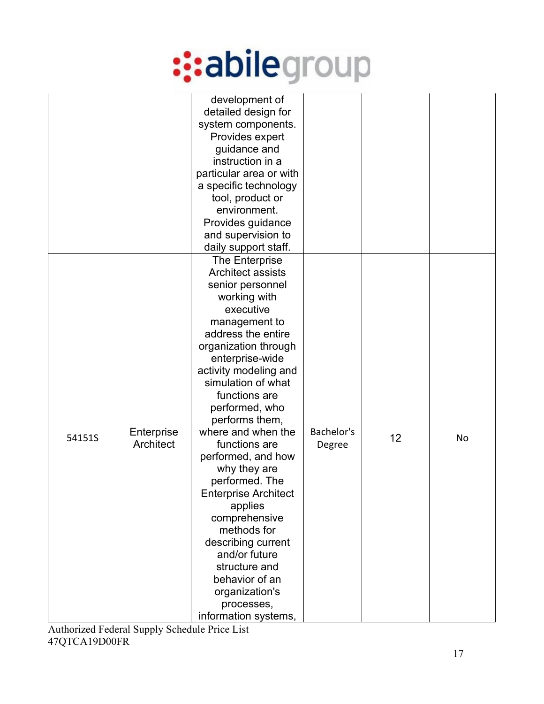|        |                         | development of<br>detailed design for<br>system components.<br>Provides expert<br>guidance and<br>instruction in a<br>particular area or with<br>a specific technology<br>tool, product or<br>environment.<br>Provides guidance<br>and supervision to<br>daily support staff.                                                                                                                                                                                                                                                                                                                |                      |    |           |
|--------|-------------------------|----------------------------------------------------------------------------------------------------------------------------------------------------------------------------------------------------------------------------------------------------------------------------------------------------------------------------------------------------------------------------------------------------------------------------------------------------------------------------------------------------------------------------------------------------------------------------------------------|----------------------|----|-----------|
| 54151S | Enterprise<br>Architect | The Enterprise<br><b>Architect assists</b><br>senior personnel<br>working with<br>executive<br>management to<br>address the entire<br>organization through<br>enterprise-wide<br>activity modeling and<br>simulation of what<br>functions are<br>performed, who<br>performs them,<br>where and when the<br>functions are<br>performed, and how<br>why they are<br>performed. The<br><b>Enterprise Architect</b><br>applies<br>comprehensive<br>methods for<br>describing current<br>and/or future<br>structure and<br>behavior of an<br>organization's<br>processes,<br>information systems, | Bachelor's<br>Degree | 12 | <b>No</b> |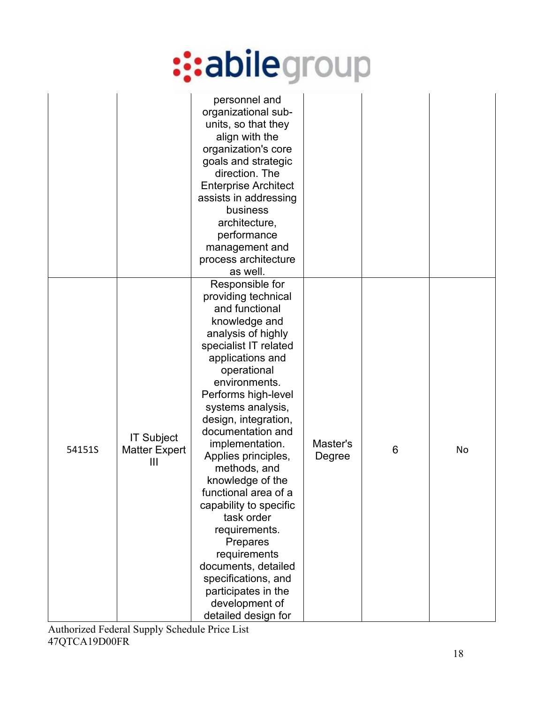|        |                                                | personnel and<br>organizational sub-<br>units, so that they<br>align with the<br>organization's core<br>goals and strategic<br>direction. The<br><b>Enterprise Architect</b><br>assists in addressing<br>business<br>architecture,<br>performance<br>management and<br>process architecture<br>as well.                                                                                                                                                                                                                                                                        |                    |   |    |
|--------|------------------------------------------------|--------------------------------------------------------------------------------------------------------------------------------------------------------------------------------------------------------------------------------------------------------------------------------------------------------------------------------------------------------------------------------------------------------------------------------------------------------------------------------------------------------------------------------------------------------------------------------|--------------------|---|----|
| 54151S | <b>IT Subject</b><br><b>Matter Expert</b><br>Ш | Responsible for<br>providing technical<br>and functional<br>knowledge and<br>analysis of highly<br>specialist IT related<br>applications and<br>operational<br>environments.<br>Performs high-level<br>systems analysis,<br>design, integration,<br>documentation and<br>implementation.<br>Applies principles,<br>methods, and<br>knowledge of the<br>functional area of a<br>capability to specific<br>task order<br>requirements.<br>Prepares<br>requirements<br>documents, detailed<br>specifications, and<br>participates in the<br>development of<br>detailed design for | Master's<br>Degree | 6 | No |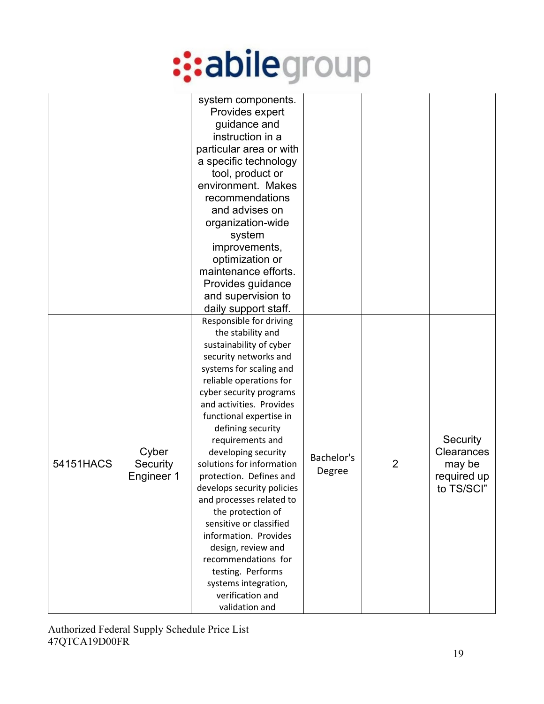|           |                                 | system components.<br>Provides expert<br>guidance and<br>instruction in a<br>particular area or with<br>a specific technology<br>tool, product or<br>environment. Makes<br>recommendations<br>and advises on<br>organization-wide<br>system<br>improvements,<br>optimization or<br>maintenance efforts.<br>Provides guidance<br>and supervision to<br>daily support staff.                                                                                                                                                                                                                                                          |                      |                |                                                                      |
|-----------|---------------------------------|-------------------------------------------------------------------------------------------------------------------------------------------------------------------------------------------------------------------------------------------------------------------------------------------------------------------------------------------------------------------------------------------------------------------------------------------------------------------------------------------------------------------------------------------------------------------------------------------------------------------------------------|----------------------|----------------|----------------------------------------------------------------------|
| 54151HACS | Cyber<br>Security<br>Engineer 1 | Responsible for driving<br>the stability and<br>sustainability of cyber<br>security networks and<br>systems for scaling and<br>reliable operations for<br>cyber security programs<br>and activities. Provides<br>functional expertise in<br>defining security<br>requirements and<br>developing security<br>solutions for information<br>protection. Defines and<br>develops security policies<br>and processes related to<br>the protection of<br>sensitive or classified<br>information. Provides<br>design, review and<br>recommendations for<br>testing. Performs<br>systems integration,<br>verification and<br>validation and | Bachelor's<br>Degree | $\overline{2}$ | Security<br><b>Clearances</b><br>may be<br>required up<br>to TS/SCI" |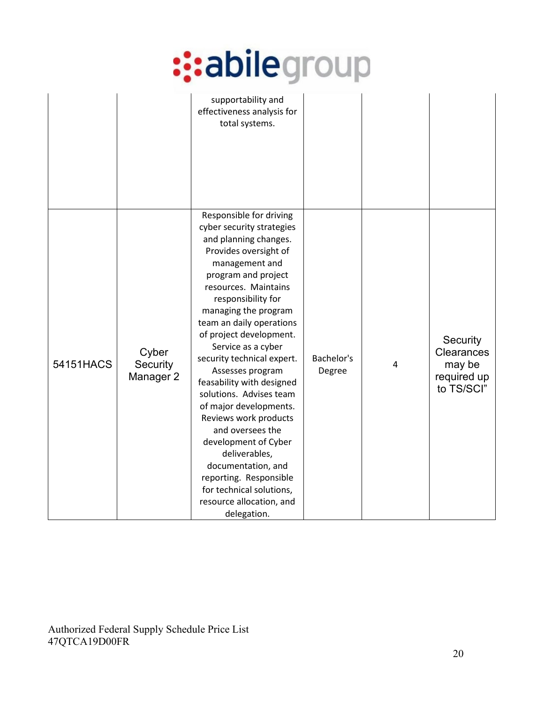|           |                                | supportability and<br>effectiveness analysis for<br>total systems.                                                                                                                                                                                                                                                                                                                                                                                                                                                                                                                                                                                  |                      |   |                                                               |
|-----------|--------------------------------|-----------------------------------------------------------------------------------------------------------------------------------------------------------------------------------------------------------------------------------------------------------------------------------------------------------------------------------------------------------------------------------------------------------------------------------------------------------------------------------------------------------------------------------------------------------------------------------------------------------------------------------------------------|----------------------|---|---------------------------------------------------------------|
| 54151HACS | Cyber<br>Security<br>Manager 2 | Responsible for driving<br>cyber security strategies<br>and planning changes.<br>Provides oversight of<br>management and<br>program and project<br>resources. Maintains<br>responsibility for<br>managing the program<br>team an daily operations<br>of project development.<br>Service as a cyber<br>security technical expert.<br>Assesses program<br>feasability with designed<br>solutions. Advises team<br>of major developments.<br>Reviews work products<br>and oversees the<br>development of Cyber<br>deliverables,<br>documentation, and<br>reporting. Responsible<br>for technical solutions,<br>resource allocation, and<br>delegation. | Bachelor's<br>Degree | 4 | Security<br>Clearances<br>may be<br>required up<br>to TS/SCI" |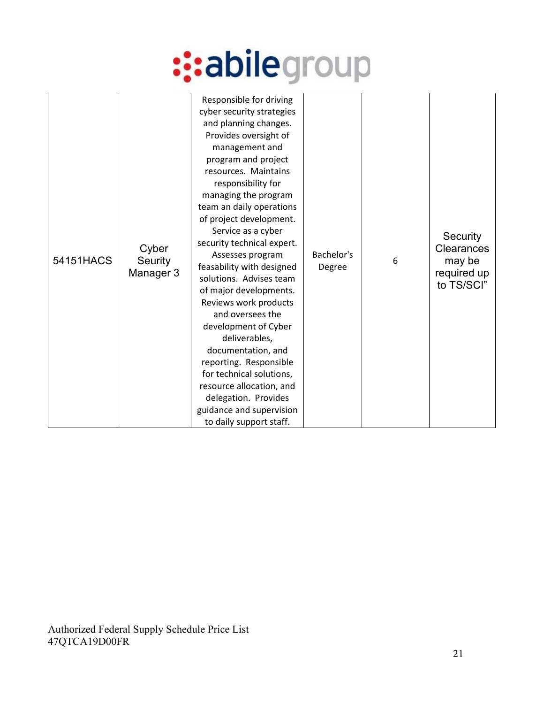| 54151HACS | Cyber<br>Seurity<br>Manager 3 | Responsible for driving<br>cyber security strategies<br>and planning changes.<br>Provides oversight of<br>management and<br>program and project<br>resources. Maintains<br>responsibility for<br>managing the program<br>team an daily operations<br>of project development.<br>Service as a cyber<br>security technical expert.<br>Assesses program<br>feasability with designed<br>solutions. Advises team<br>of major developments.<br>Reviews work products<br>and oversees the<br>development of Cyber<br>deliverables,<br>documentation, and<br>reporting. Responsible<br>for technical solutions,<br>resource allocation, and<br>delegation. Provides<br>guidance and supervision<br>to daily support staff. | Bachelor's<br>Degree | 6 | Security<br>Clearances<br>may be<br>required up<br>to TS/SCI" |
|-----------|-------------------------------|---------------------------------------------------------------------------------------------------------------------------------------------------------------------------------------------------------------------------------------------------------------------------------------------------------------------------------------------------------------------------------------------------------------------------------------------------------------------------------------------------------------------------------------------------------------------------------------------------------------------------------------------------------------------------------------------------------------------|----------------------|---|---------------------------------------------------------------|
|-----------|-------------------------------|---------------------------------------------------------------------------------------------------------------------------------------------------------------------------------------------------------------------------------------------------------------------------------------------------------------------------------------------------------------------------------------------------------------------------------------------------------------------------------------------------------------------------------------------------------------------------------------------------------------------------------------------------------------------------------------------------------------------|----------------------|---|---------------------------------------------------------------|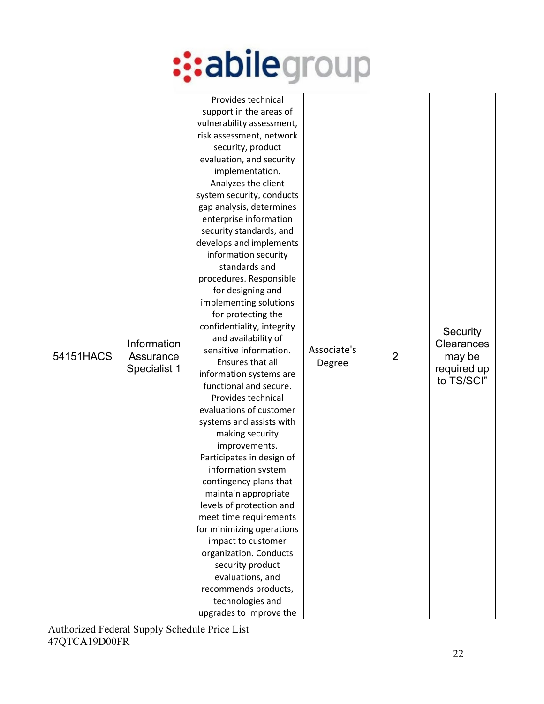| improvements.<br>Participates in design of<br>information system<br>contingency plans that<br>maintain appropriate<br>levels of protection and<br>meet time requirements<br>for minimizing operations<br>impact to customer<br>organization. Conducts<br>security product<br>evaluations, and<br>recommends products,<br>technologies and<br>upgrades to improve the | 54151HACS | Information<br>Assurance<br>Specialist 1 | Provides technical<br>support in the areas of<br>vulnerability assessment,<br>risk assessment, network<br>security, product<br>evaluation, and security<br>implementation.<br>Analyzes the client<br>system security, conducts<br>gap analysis, determines<br>enterprise information<br>security standards, and<br>develops and implements<br>information security<br>standards and<br>procedures. Responsible<br>for designing and<br>implementing solutions<br>for protecting the<br>confidentiality, integrity<br>and availability of<br>sensitive information.<br>Ensures that all<br>information systems are<br>functional and secure.<br>Provides technical<br>evaluations of customer<br>systems and assists with<br>making security | Associate's<br>Degree | $\overline{2}$ | Security<br><b>Clearances</b><br>may be<br>required up<br>to TS/SCI" |
|----------------------------------------------------------------------------------------------------------------------------------------------------------------------------------------------------------------------------------------------------------------------------------------------------------------------------------------------------------------------|-----------|------------------------------------------|---------------------------------------------------------------------------------------------------------------------------------------------------------------------------------------------------------------------------------------------------------------------------------------------------------------------------------------------------------------------------------------------------------------------------------------------------------------------------------------------------------------------------------------------------------------------------------------------------------------------------------------------------------------------------------------------------------------------------------------------|-----------------------|----------------|----------------------------------------------------------------------|
|----------------------------------------------------------------------------------------------------------------------------------------------------------------------------------------------------------------------------------------------------------------------------------------------------------------------------------------------------------------------|-----------|------------------------------------------|---------------------------------------------------------------------------------------------------------------------------------------------------------------------------------------------------------------------------------------------------------------------------------------------------------------------------------------------------------------------------------------------------------------------------------------------------------------------------------------------------------------------------------------------------------------------------------------------------------------------------------------------------------------------------------------------------------------------------------------------|-----------------------|----------------|----------------------------------------------------------------------|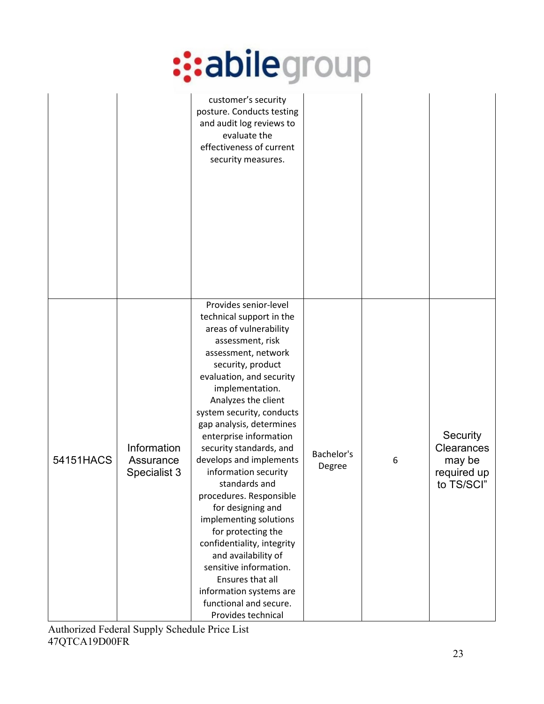|           |                                          | customer's security<br>posture. Conducts testing<br>and audit log reviews to<br>evaluate the<br>effectiveness of current<br>security measures.                                                                                                                                                                                                                                                                                                                                                                                                                                                                                                                                    |                      |   |                                                               |
|-----------|------------------------------------------|-----------------------------------------------------------------------------------------------------------------------------------------------------------------------------------------------------------------------------------------------------------------------------------------------------------------------------------------------------------------------------------------------------------------------------------------------------------------------------------------------------------------------------------------------------------------------------------------------------------------------------------------------------------------------------------|----------------------|---|---------------------------------------------------------------|
| 54151HACS | Information<br>Assurance<br>Specialist 3 | Provides senior-level<br>technical support in the<br>areas of vulnerability<br>assessment, risk<br>assessment, network<br>security, product<br>evaluation, and security<br>implementation.<br>Analyzes the client<br>system security, conducts<br>gap analysis, determines<br>enterprise information<br>security standards, and<br>develops and implements<br>information security<br>standards and<br>procedures. Responsible<br>for designing and<br>implementing solutions<br>for protecting the<br>confidentiality, integrity<br>and availability of<br>sensitive information.<br>Ensures that all<br>information systems are<br>functional and secure.<br>Provides technical | Bachelor's<br>Degree | 6 | Security<br>Clearances<br>may be<br>required up<br>to TS/SCI" |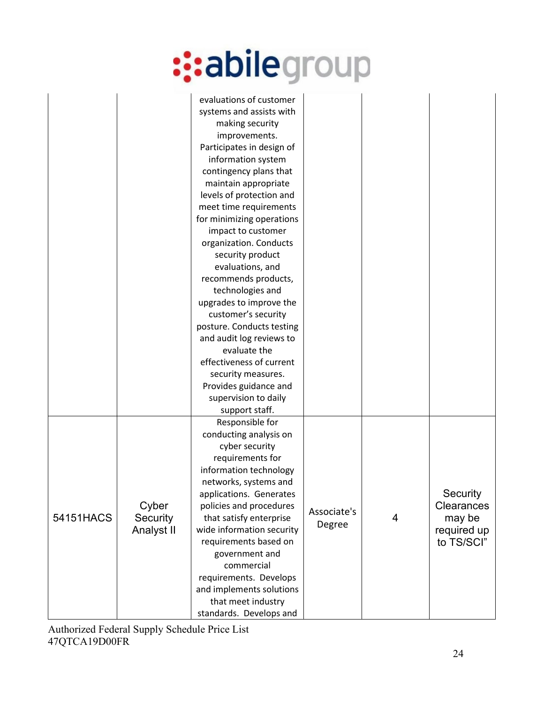|           |                                 | evaluations of customer<br>systems and assists with<br>making security<br>improvements.<br>Participates in design of<br>information system<br>contingency plans that<br>maintain appropriate<br>levels of protection and<br>meet time requirements<br>for minimizing operations<br>impact to customer<br>organization. Conducts<br>security product<br>evaluations, and<br>recommends products,<br>technologies and<br>upgrades to improve the<br>customer's security<br>posture. Conducts testing<br>and audit log reviews to<br>evaluate the<br>effectiveness of current<br>security measures.<br>Provides guidance and<br>supervision to daily |                       |   |                                                               |
|-----------|---------------------------------|---------------------------------------------------------------------------------------------------------------------------------------------------------------------------------------------------------------------------------------------------------------------------------------------------------------------------------------------------------------------------------------------------------------------------------------------------------------------------------------------------------------------------------------------------------------------------------------------------------------------------------------------------|-----------------------|---|---------------------------------------------------------------|
| 54151HACS | Cyber<br>Security<br>Analyst II | support staff.<br>Responsible for<br>conducting analysis on<br>cyber security<br>requirements for<br>information technology<br>networks, systems and<br>applications. Generates<br>policies and procedures<br>that satisfy enterprise<br>wide information security<br>requirements based on<br>government and<br>commercial<br>requirements. Develops<br>and implements solutions<br>that meet industry<br>standards. Develops and                                                                                                                                                                                                                | Associate's<br>Degree | 4 | Security<br>Clearances<br>may be<br>required up<br>to TS/SCI" |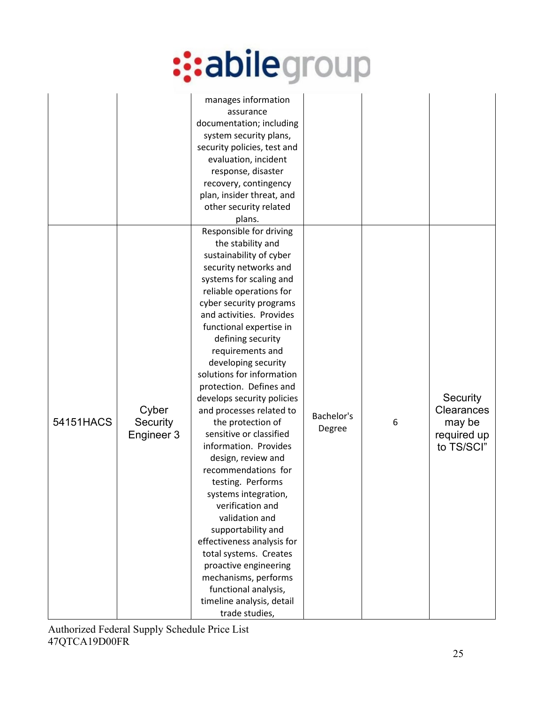|           |                                 | manages information<br>assurance<br>documentation; including<br>system security plans,<br>security policies, test and<br>evaluation, incident<br>response, disaster<br>recovery, contingency<br>plan, insider threat, and<br>other security related<br>plans.                                                                                                                                                                                                                                                                                                                                                                                                                                                                                                                                                                             |                      |   |                                                               |
|-----------|---------------------------------|-------------------------------------------------------------------------------------------------------------------------------------------------------------------------------------------------------------------------------------------------------------------------------------------------------------------------------------------------------------------------------------------------------------------------------------------------------------------------------------------------------------------------------------------------------------------------------------------------------------------------------------------------------------------------------------------------------------------------------------------------------------------------------------------------------------------------------------------|----------------------|---|---------------------------------------------------------------|
| 54151HACS | Cyber<br>Security<br>Engineer 3 | Responsible for driving<br>the stability and<br>sustainability of cyber<br>security networks and<br>systems for scaling and<br>reliable operations for<br>cyber security programs<br>and activities. Provides<br>functional expertise in<br>defining security<br>requirements and<br>developing security<br>solutions for information<br>protection. Defines and<br>develops security policies<br>and processes related to<br>the protection of<br>sensitive or classified<br>information. Provides<br>design, review and<br>recommendations for<br>testing. Performs<br>systems integration,<br>verification and<br>validation and<br>supportability and<br>effectiveness analysis for<br>total systems. Creates<br>proactive engineering<br>mechanisms, performs<br>functional analysis,<br>timeline analysis, detail<br>trade studies, | Bachelor's<br>Degree | 6 | Security<br>Clearances<br>may be<br>required up<br>to TS/SCI" |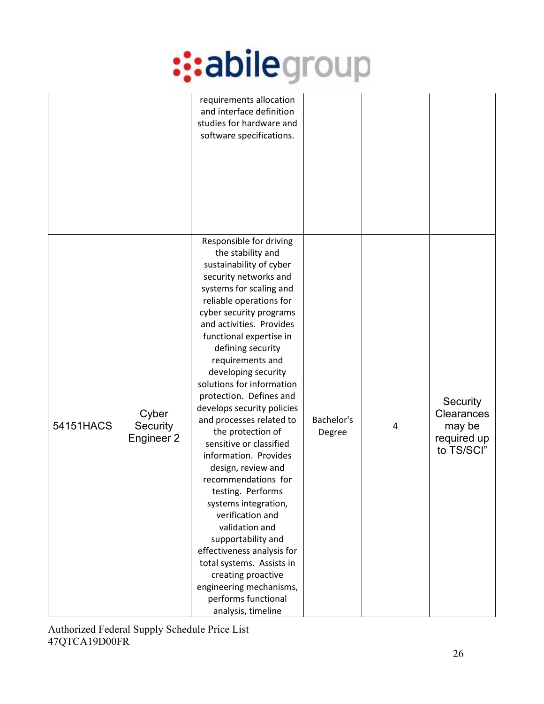|           |                                 | requirements allocation<br>and interface definition<br>studies for hardware and<br>software specifications.                                                                                                                                                                                                                                                                                                                                                                                                                                                                                                                                                                                                                                                                                                        |                      |   |                                                                      |
|-----------|---------------------------------|--------------------------------------------------------------------------------------------------------------------------------------------------------------------------------------------------------------------------------------------------------------------------------------------------------------------------------------------------------------------------------------------------------------------------------------------------------------------------------------------------------------------------------------------------------------------------------------------------------------------------------------------------------------------------------------------------------------------------------------------------------------------------------------------------------------------|----------------------|---|----------------------------------------------------------------------|
| 54151HACS | Cyber<br>Security<br>Engineer 2 | Responsible for driving<br>the stability and<br>sustainability of cyber<br>security networks and<br>systems for scaling and<br>reliable operations for<br>cyber security programs<br>and activities. Provides<br>functional expertise in<br>defining security<br>requirements and<br>developing security<br>solutions for information<br>protection. Defines and<br>develops security policies<br>and processes related to<br>the protection of<br>sensitive or classified<br>information. Provides<br>design, review and<br>recommendations for<br>testing. Performs<br>systems integration,<br>verification and<br>validation and<br>supportability and<br>effectiveness analysis for<br>total systems. Assists in<br>creating proactive<br>engineering mechanisms,<br>performs functional<br>analysis, timeline | Bachelor's<br>Degree | 4 | Security<br><b>Clearances</b><br>may be<br>required up<br>to TS/SCI" |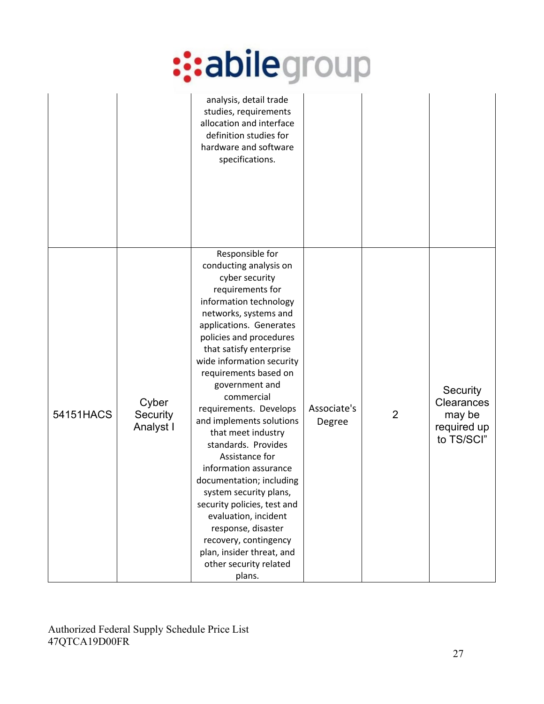|           |                                | analysis, detail trade<br>studies, requirements<br>allocation and interface<br>definition studies for<br>hardware and software<br>specifications.                                                                                                                                                                                                                                                                                                                                                                                                                                                                                                                                    |                       |                |                                                               |
|-----------|--------------------------------|--------------------------------------------------------------------------------------------------------------------------------------------------------------------------------------------------------------------------------------------------------------------------------------------------------------------------------------------------------------------------------------------------------------------------------------------------------------------------------------------------------------------------------------------------------------------------------------------------------------------------------------------------------------------------------------|-----------------------|----------------|---------------------------------------------------------------|
| 54151HACS | Cyber<br>Security<br>Analyst I | Responsible for<br>conducting analysis on<br>cyber security<br>requirements for<br>information technology<br>networks, systems and<br>applications. Generates<br>policies and procedures<br>that satisfy enterprise<br>wide information security<br>requirements based on<br>government and<br>commercial<br>requirements. Develops<br>and implements solutions<br>that meet industry<br>standards. Provides<br>Assistance for<br>information assurance<br>documentation; including<br>system security plans,<br>security policies, test and<br>evaluation, incident<br>response, disaster<br>recovery, contingency<br>plan, insider threat, and<br>other security related<br>plans. | Associate's<br>Degree | $\overline{2}$ | Security<br>Clearances<br>may be<br>required up<br>to TS/SCI" |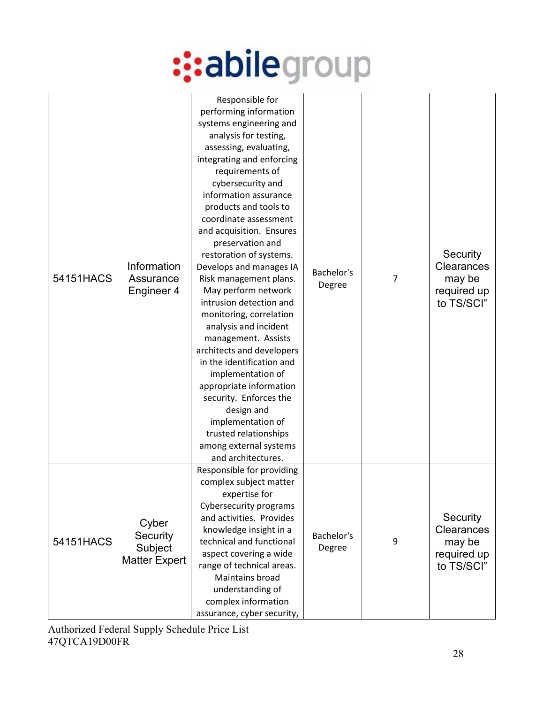| 54151HACS | Information<br>Assurance<br>Engineer 4               | Responsible for<br>performing information<br>systems engineering and<br>analysis for testing,<br>assessing, evaluating,<br>integrating and enforcing<br>requirements of<br>cybersecurity and<br>information assurance<br>products and tools to<br>coordinate assessment<br>and acquisition. Ensures<br>preservation and<br>restoration of systems.<br>Develops and manages IA<br>Risk management plans.<br>May perform network<br>intrusion detection and<br>monitoring, correlation<br>analysis and incident<br>management. Assists<br>architects and developers<br>in the identification and<br>implementation of<br>appropriate information<br>security. Enforces the<br>design and<br>implementation of<br>trusted relationships<br>among external systems<br>and architectures. | Bachelor's<br>Degree | 7 | Security<br>Clearances<br>may be<br>required up<br>to TS/SCI" |
|-----------|------------------------------------------------------|--------------------------------------------------------------------------------------------------------------------------------------------------------------------------------------------------------------------------------------------------------------------------------------------------------------------------------------------------------------------------------------------------------------------------------------------------------------------------------------------------------------------------------------------------------------------------------------------------------------------------------------------------------------------------------------------------------------------------------------------------------------------------------------|----------------------|---|---------------------------------------------------------------|
| 54151HACS | Cyber<br>Security<br>Subject<br><b>Matter Expert</b> | Responsible for providing<br>complex subject matter<br>expertise for<br>Cybersecurity programs<br>and activities. Provides<br>knowledge insight in a<br>technical and functional<br>aspect covering a wide<br>range of technical areas.<br>Maintains broad<br>understanding of<br>complex information<br>assurance, cyber security,                                                                                                                                                                                                                                                                                                                                                                                                                                                  | Bachelor's<br>Degree | 9 | Security<br>Clearances<br>may be<br>required up<br>to TS/SCI" |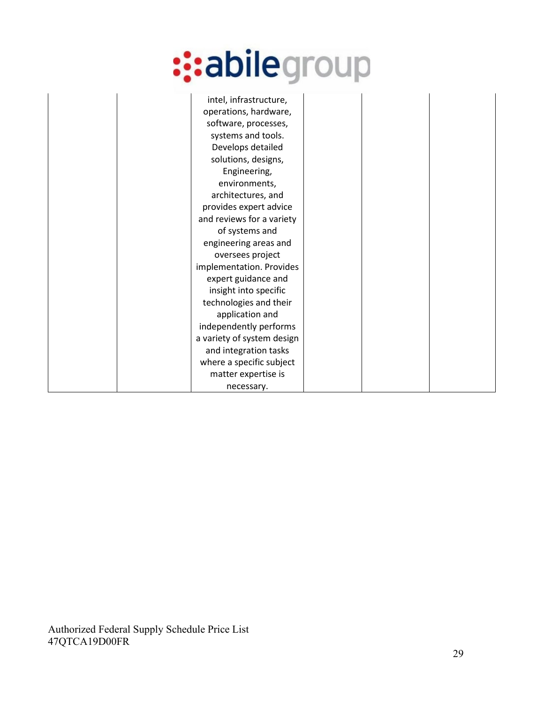| intel, infrastructure,     |  |
|----------------------------|--|
| operations, hardware,      |  |
| software, processes,       |  |
| systems and tools.         |  |
| Develops detailed          |  |
| solutions, designs,        |  |
| Engineering,               |  |
| environments,              |  |
| architectures, and         |  |
| provides expert advice     |  |
| and reviews for a variety  |  |
| of systems and             |  |
| engineering areas and      |  |
| oversees project           |  |
| implementation. Provides   |  |
| expert guidance and        |  |
| insight into specific      |  |
| technologies and their     |  |
| application and            |  |
| independently performs     |  |
| a variety of system design |  |
| and integration tasks      |  |
| where a specific subject   |  |
| matter expertise is        |  |
| necessary.                 |  |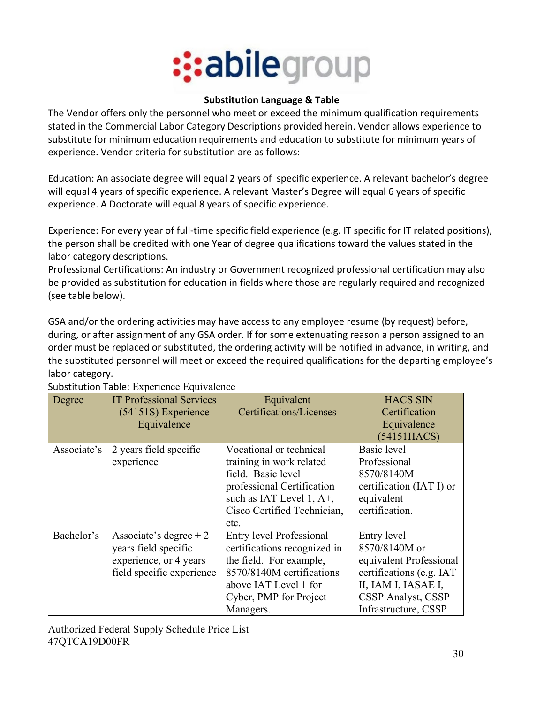

#### **Substitution Language & Table**

The Vendor offers only the personnel who meet or exceed the minimum qualification requirements stated in the Commercial Labor Category Descriptions provided herein. Vendor allows experience to substitute for minimum education requirements and education to substitute for minimum years of experience. Vendor criteria for substitution are as follows:

Education: An associate degree will equal 2 years of specific experience. A relevant bachelor's degree will equal 4 years of specific experience. A relevant Master's Degree will equal 6 years of specific experience. A Doctorate will equal 8 years of specific experience.

Experience: For every year of full-time specific field experience (e.g. IT specific for IT related positions), the person shall be credited with one Year of degree qualifications toward the values stated in the labor category descriptions.

Professional Certifications: An industry or Government recognized professional certification may also be provided as substitution for education in fields where those are regularly required and recognized (see table below).

GSA and/or the ordering activities may have access to any employee resume (by request) before, during, or after assignment of any GSA order. If for some extenuating reason a person assigned to an order must be replaced or substituted, the ordering activity will be notified in advance, in writing, and the substituted personnel will meet or exceed the required qualifications for the departing employee's labor category.

| Degree      | <b>IT Professional Services</b> | Equivalent                      | <b>HACS SIN</b>          |
|-------------|---------------------------------|---------------------------------|--------------------------|
|             | (54151S) Experience             | Certifications/Licenses         | Certification            |
|             | Equivalence                     |                                 | Equivalence              |
|             |                                 |                                 | (54151HACS)              |
| Associate's | 2 years field specific          | Vocational or technical         | Basic level              |
|             | experience                      | training in work related        | Professional             |
|             |                                 | field. Basic level              | 8570/8140M               |
|             |                                 | professional Certification      | certification (IAT I) or |
|             |                                 | such as IAT Level 1, A+,        | equivalent               |
|             |                                 | Cisco Certified Technician,     | certification.           |
|             |                                 | etc.                            |                          |
| Bachelor's  | Associate's degree $+2$         | <b>Entry level Professional</b> | Entry level              |
|             | years field specific            | certifications recognized in    | 8570/8140M or            |
|             | experience, or 4 years          | the field. For example,         | equivalent Professional  |
|             | field specific experience       | 8570/8140M certifications       | certifications (e.g. IAT |
|             |                                 | above IAT Level 1 for           | II, IAM I, IASAE I,      |
|             |                                 | Cyber, PMP for Project          | CSSP Analyst, CSSP       |
|             |                                 | Managers.                       | Infrastructure, CSSP     |

Substitution Table: Experience Equivalence